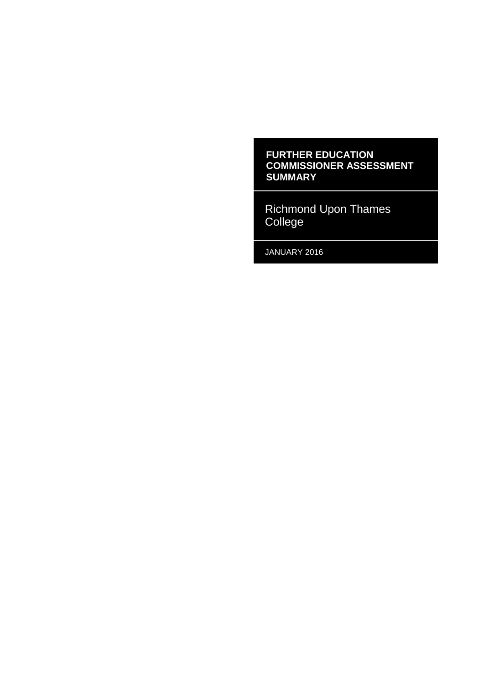#### **FURTHER EDUCATION COMMISSIONER ASSESSMENT SUMMARY**

Richmond Upon Thames College

JANUARY 2016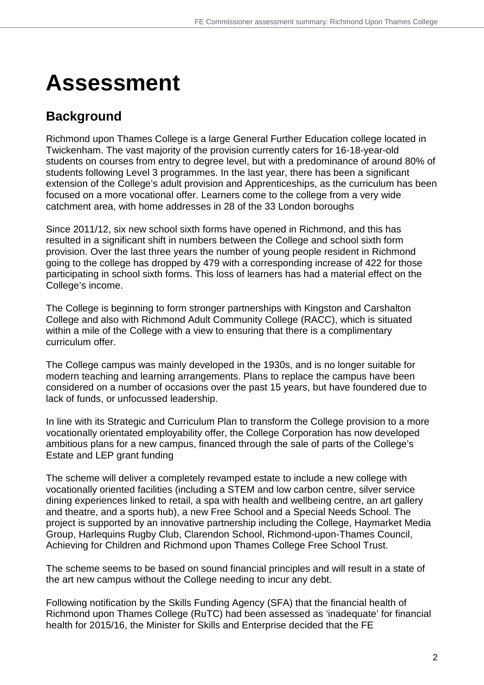# **Assessment**

### **Background**

Richmond upon Thames College is a large General Further Education college located in Twickenham. The vast majority of the provision currently caters for 16-18-year-old students on courses from entry to degree level, but with a predominance of around 80% of students following Level 3 programmes. In the last year, there has been a significant extension of the College's adult provision and Apprenticeships, as the curriculum has been focused on a more vocational offer. Learners come to the college from a very wide catchment area, with home addresses in 28 of the 33 London boroughs

Since 2011/12, six new school sixth forms have opened in Richmond, and this has resulted in a significant shift in numbers between the College and school sixth form provision. Over the last three years the number of young people resident in Richmond going to the college has dropped by 479 with a corresponding increase of 422 for those participating in school sixth forms. This loss of learners has had a material effect on the College's income.

The College is beginning to form stronger partnerships with Kingston and Carshalton College and also with Richmond Adult Community College (RACC), which is situated within a mile of the College with a view to ensuring that there is a complimentary curriculum offer.

The College campus was mainly developed in the 1930s, and is no longer suitable for modern teaching and learning arrangements. Plans to replace the campus have been considered on a number of occasions over the past 15 years, but have foundered due to lack of funds, or unfocussed leadership.

In line with its Strategic and Curriculum Plan to transform the College provision to a more vocationally orientated employability offer, the College Corporation has now developed ambitious plans for a new campus, financed through the sale of parts of the College's Estate and LEP grant funding

The scheme will deliver a completely revamped estate to include a new college with vocationally oriented facilities (including a STEM and low carbon centre, silver service dining experiences linked to retail, a spa with health and wellbeing centre, an art gallery and theatre, and a sports hub), a new Free School and a Special Needs School. The project is supported by an innovative partnership including the College, Haymarket Media Group, Harlequins Rugby Club, Clarendon School, Richmond-upon-Thames Council, Achieving for Children and Richmond upon Thames College Free School Trust.

The scheme seems to be based on sound financial principles and will result in a state of the art new campus without the College needing to incur any debt.

Following notification by the Skills Funding Agency (SFA) that the financial health of Richmond upon Thames College (RuTC) had been assessed as 'inadequate' for financial health for 2015/16, the Minister for Skills and Enterprise decided that the FE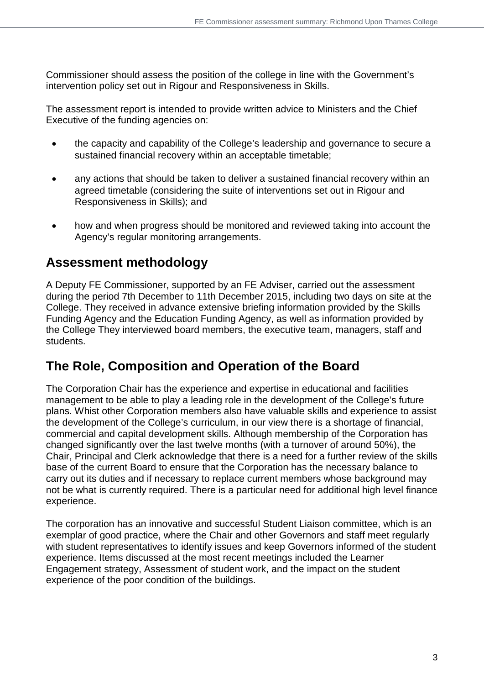Commissioner should assess the position of the college in line with the Government's intervention policy set out in Rigour and Responsiveness in Skills.

The assessment report is intended to provide written advice to Ministers and the Chief Executive of the funding agencies on:

- the capacity and capability of the College's leadership and governance to secure a sustained financial recovery within an acceptable timetable;
- any actions that should be taken to deliver a sustained financial recovery within an agreed timetable (considering the suite of interventions set out in Rigour and Responsiveness in Skills); and
- how and when progress should be monitored and reviewed taking into account the Agency's regular monitoring arrangements.

## **Assessment methodology**

A Deputy FE Commissioner, supported by an FE Adviser, carried out the assessment during the period 7th December to 11th December 2015, including two days on site at the College. They received in advance extensive briefing information provided by the Skills Funding Agency and the Education Funding Agency, as well as information provided by the College They interviewed board members, the executive team, managers, staff and students.

## **The Role, Composition and Operation of the Board**

The Corporation Chair has the experience and expertise in educational and facilities management to be able to play a leading role in the development of the College's future plans. Whist other Corporation members also have valuable skills and experience to assist the development of the College's curriculum, in our view there is a shortage of financial, commercial and capital development skills. Although membership of the Corporation has changed significantly over the last twelve months (with a turnover of around 50%), the Chair, Principal and Clerk acknowledge that there is a need for a further review of the skills base of the current Board to ensure that the Corporation has the necessary balance to carry out its duties and if necessary to replace current members whose background may not be what is currently required. There is a particular need for additional high level finance experience.

The corporation has an innovative and successful Student Liaison committee, which is an exemplar of good practice, where the Chair and other Governors and staff meet regularly with student representatives to identify issues and keep Governors informed of the student experience. Items discussed at the most recent meetings included the Learner Engagement strategy, Assessment of student work, and the impact on the student experience of the poor condition of the buildings.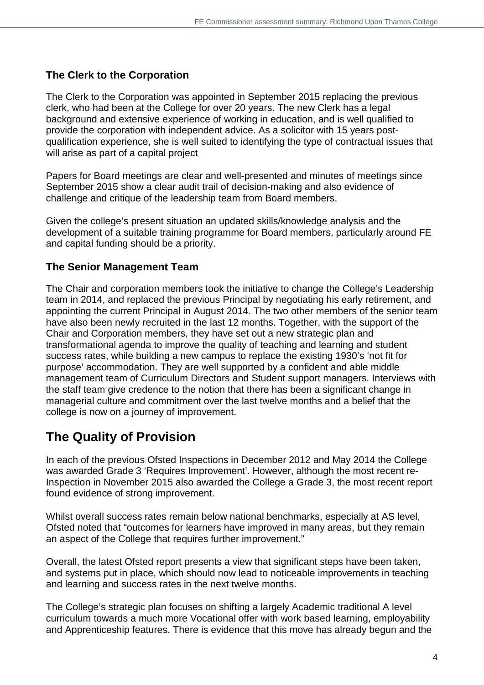### **The Clerk to the Corporation**

The Clerk to the Corporation was appointed in September 2015 replacing the previous clerk, who had been at the College for over 20 years. The new Clerk has a legal background and extensive experience of working in education, and is well qualified to provide the corporation with independent advice. As a solicitor with 15 years postqualification experience, she is well suited to identifying the type of contractual issues that will arise as part of a capital project

Papers for Board meetings are clear and well-presented and minutes of meetings since September 2015 show a clear audit trail of decision-making and also evidence of challenge and critique of the leadership team from Board members.

Given the college's present situation an updated skills/knowledge analysis and the development of a suitable training programme for Board members, particularly around FE and capital funding should be a priority.

#### **The Senior Management Team**

The Chair and corporation members took the initiative to change the College's Leadership team in 2014, and replaced the previous Principal by negotiating his early retirement, and appointing the current Principal in August 2014. The two other members of the senior team have also been newly recruited in the last 12 months. Together, with the support of the Chair and Corporation members, they have set out a new strategic plan and transformational agenda to improve the quality of teaching and learning and student success rates, while building a new campus to replace the existing 1930's 'not fit for purpose' accommodation. They are well supported by a confident and able middle management team of Curriculum Directors and Student support managers. Interviews with the staff team give credence to the notion that there has been a significant change in managerial culture and commitment over the last twelve months and a belief that the college is now on a journey of improvement.

## **The Quality of Provision**

In each of the previous Ofsted Inspections in December 2012 and May 2014 the College was awarded Grade 3 'Requires Improvement'. However, although the most recent re-Inspection in November 2015 also awarded the College a Grade 3, the most recent report found evidence of strong improvement.

Whilst overall success rates remain below national benchmarks, especially at AS level, Ofsted noted that "outcomes for learners have improved in many areas, but they remain an aspect of the College that requires further improvement."

Overall, the latest Ofsted report presents a view that significant steps have been taken, and systems put in place, which should now lead to noticeable improvements in teaching and learning and success rates in the next twelve months.

The College's strategic plan focuses on shifting a largely Academic traditional A level curriculum towards a much more Vocational offer with work based learning, employability and Apprenticeship features. There is evidence that this move has already begun and the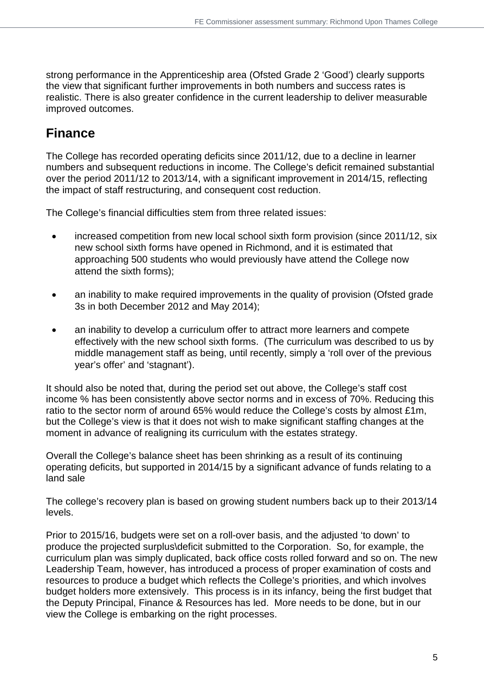strong performance in the Apprenticeship area (Ofsted Grade 2 'Good') clearly supports the view that significant further improvements in both numbers and success rates is realistic. There is also greater confidence in the current leadership to deliver measurable improved outcomes.

## **Finance**

The College has recorded operating deficits since 2011/12, due to a decline in learner numbers and subsequent reductions in income. The College's deficit remained substantial over the period 2011/12 to 2013/14, with a significant improvement in 2014/15, reflecting the impact of staff restructuring, and consequent cost reduction.

The College's financial difficulties stem from three related issues:

- increased competition from new local school sixth form provision (since 2011/12, six new school sixth forms have opened in Richmond, and it is estimated that approaching 500 students who would previously have attend the College now attend the sixth forms);
- an inability to make required improvements in the quality of provision (Ofsted grade 3s in both December 2012 and May 2014);
- an inability to develop a curriculum offer to attract more learners and compete effectively with the new school sixth forms. (The curriculum was described to us by middle management staff as being, until recently, simply a 'roll over of the previous year's offer' and 'stagnant').

It should also be noted that, during the period set out above, the College's staff cost income % has been consistently above sector norms and in excess of 70%. Reducing this ratio to the sector norm of around 65% would reduce the College's costs by almost £1m, but the College's view is that it does not wish to make significant staffing changes at the moment in advance of realigning its curriculum with the estates strategy.

Overall the College's balance sheet has been shrinking as a result of its continuing operating deficits, but supported in 2014/15 by a significant advance of funds relating to a land sale

The college's recovery plan is based on growing student numbers back up to their 2013/14 levels.

Prior to 2015/16, budgets were set on a roll-over basis, and the adjusted 'to down' to produce the projected surplus\deficit submitted to the Corporation. So, for example, the curriculum plan was simply duplicated, back office costs rolled forward and so on. The new Leadership Team, however, has introduced a process of proper examination of costs and resources to produce a budget which reflects the College's priorities, and which involves budget holders more extensively. This process is in its infancy, being the first budget that the Deputy Principal, Finance & Resources has led. More needs to be done, but in our view the College is embarking on the right processes.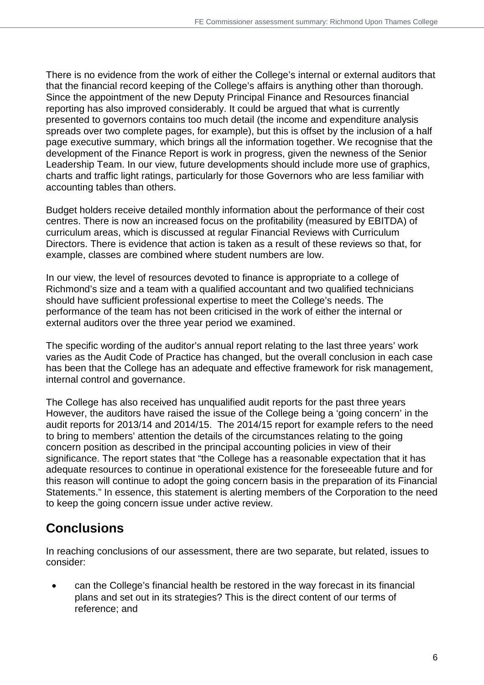There is no evidence from the work of either the College's internal or external auditors that that the financial record keeping of the College's affairs is anything other than thorough. Since the appointment of the new Deputy Principal Finance and Resources financial reporting has also improved considerably. It could be argued that what is currently presented to governors contains too much detail (the income and expenditure analysis spreads over two complete pages, for example), but this is offset by the inclusion of a half page executive summary, which brings all the information together. We recognise that the development of the Finance Report is work in progress, given the newness of the Senior Leadership Team. In our view, future developments should include more use of graphics, charts and traffic light ratings, particularly for those Governors who are less familiar with accounting tables than others.

Budget holders receive detailed monthly information about the performance of their cost centres. There is now an increased focus on the profitability (measured by EBITDA) of curriculum areas, which is discussed at regular Financial Reviews with Curriculum Directors. There is evidence that action is taken as a result of these reviews so that, for example, classes are combined where student numbers are low.

In our view, the level of resources devoted to finance is appropriate to a college of Richmond's size and a team with a qualified accountant and two qualified technicians should have sufficient professional expertise to meet the College's needs. The performance of the team has not been criticised in the work of either the internal or external auditors over the three year period we examined.

The specific wording of the auditor's annual report relating to the last three years' work varies as the Audit Code of Practice has changed, but the overall conclusion in each case has been that the College has an adequate and effective framework for risk management, internal control and governance.

The College has also received has unqualified audit reports for the past three years However, the auditors have raised the issue of the College being a 'going concern' in the audit reports for 2013/14 and 2014/15. The 2014/15 report for example refers to the need to bring to members' attention the details of the circumstances relating to the going concern position as described in the principal accounting policies in view of their significance. The report states that "the College has a reasonable expectation that it has adequate resources to continue in operational existence for the foreseeable future and for this reason will continue to adopt the going concern basis in the preparation of its Financial Statements." In essence, this statement is alerting members of the Corporation to the need to keep the going concern issue under active review.

## **Conclusions**

In reaching conclusions of our assessment, there are two separate, but related, issues to consider:

• can the College's financial health be restored in the way forecast in its financial plans and set out in its strategies? This is the direct content of our terms of reference; and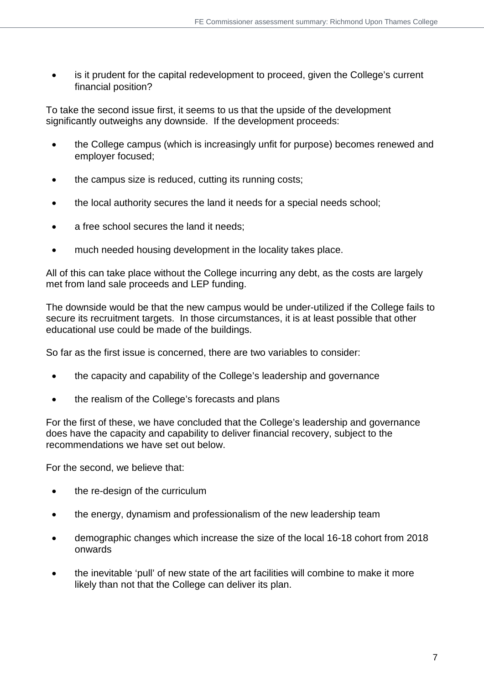is it prudent for the capital redevelopment to proceed, given the College's current financial position?

To take the second issue first, it seems to us that the upside of the development significantly outweighs any downside. If the development proceeds:

- the College campus (which is increasingly unfit for purpose) becomes renewed and employer focused;
- the campus size is reduced, cutting its running costs;
- the local authority secures the land it needs for a special needs school;
- a free school secures the land it needs;
- much needed housing development in the locality takes place.

All of this can take place without the College incurring any debt, as the costs are largely met from land sale proceeds and LEP funding.

The downside would be that the new campus would be under-utilized if the College fails to secure its recruitment targets. In those circumstances, it is at least possible that other educational use could be made of the buildings.

So far as the first issue is concerned, there are two variables to consider:

- the capacity and capability of the College's leadership and governance
- the realism of the College's forecasts and plans

For the first of these, we have concluded that the College's leadership and governance does have the capacity and capability to deliver financial recovery, subject to the recommendations we have set out below.

For the second, we believe that:

- the re-design of the curriculum
- the energy, dynamism and professionalism of the new leadership team
- demographic changes which increase the size of the local 16-18 cohort from 2018 onwards
- the inevitable 'pull' of new state of the art facilities will combine to make it more likely than not that the College can deliver its plan.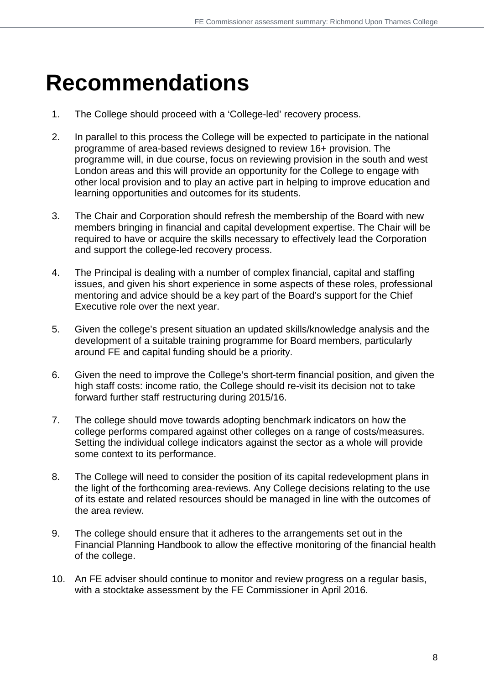## **Recommendations**

- 1. The College should proceed with a 'College-led' recovery process.
- 2. In parallel to this process the College will be expected to participate in the national programme of area-based reviews designed to review 16+ provision. The programme will, in due course, focus on reviewing provision in the south and west London areas and this will provide an opportunity for the College to engage with other local provision and to play an active part in helping to improve education and learning opportunities and outcomes for its students.
- 3. The Chair and Corporation should refresh the membership of the Board with new members bringing in financial and capital development expertise. The Chair will be required to have or acquire the skills necessary to effectively lead the Corporation and support the college-led recovery process.
- 4. The Principal is dealing with a number of complex financial, capital and staffing issues, and given his short experience in some aspects of these roles, professional mentoring and advice should be a key part of the Board's support for the Chief Executive role over the next year.
- 5. Given the college's present situation an updated skills/knowledge analysis and the development of a suitable training programme for Board members, particularly around FE and capital funding should be a priority.
- 6. Given the need to improve the College's short-term financial position, and given the high staff costs: income ratio, the College should re-visit its decision not to take forward further staff restructuring during 2015/16.
- 7. The college should move towards adopting benchmark indicators on how the college performs compared against other colleges on a range of costs/measures. Setting the individual college indicators against the sector as a whole will provide some context to its performance.
- 8. The College will need to consider the position of its capital redevelopment plans in the light of the forthcoming area-reviews. Any College decisions relating to the use of its estate and related resources should be managed in line with the outcomes of the area review.
- 9. The college should ensure that it adheres to the arrangements set out in the Financial Planning Handbook to allow the effective monitoring of the financial health of the college.
- 10. An FE adviser should continue to monitor and review progress on a regular basis, with a stocktake assessment by the FE Commissioner in April 2016.